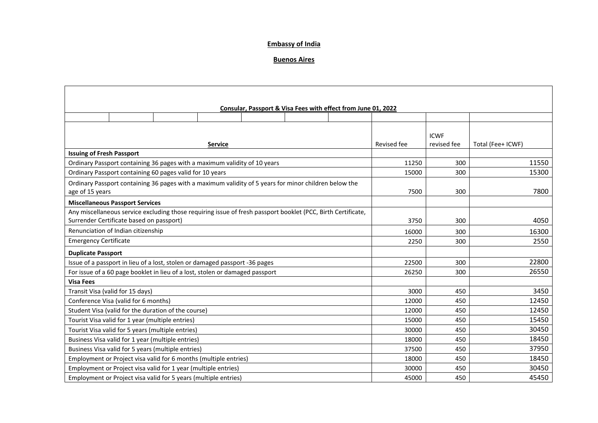## **Embassy of India**

## **Buenos Aires**

|                                                                                                                          |  |  |                |       |       | Consular, Passport & Visa Fees with effect from June 01, 2022                                                |             |             |                   |
|--------------------------------------------------------------------------------------------------------------------------|--|--|----------------|-------|-------|--------------------------------------------------------------------------------------------------------------|-------------|-------------|-------------------|
|                                                                                                                          |  |  |                |       |       |                                                                                                              |             |             |                   |
|                                                                                                                          |  |  |                |       |       |                                                                                                              |             | <b>ICWF</b> |                   |
|                                                                                                                          |  |  | <b>Service</b> |       |       |                                                                                                              | Revised fee | revised fee | Total (Fee+ ICWF) |
| <b>Issuing of Fresh Passport</b>                                                                                         |  |  |                |       |       |                                                                                                              |             |             |                   |
| Ordinary Passport containing 36 pages with a maximum validity of 10 years                                                |  |  |                |       |       |                                                                                                              | 11250       | 300         | 11550             |
| Ordinary Passport containing 60 pages valid for 10 years                                                                 |  |  |                |       |       |                                                                                                              | 15000       | 300         | 15300             |
| Ordinary Passport containing 36 pages with a maximum validity of 5 years for minor children below the<br>age of 15 years |  |  | 7500           | 300   | 7800  |                                                                                                              |             |             |                   |
| <b>Miscellaneous Passport Services</b>                                                                                   |  |  |                |       |       |                                                                                                              |             |             |                   |
| Surrender Certificate based on passport)                                                                                 |  |  |                |       |       | Any miscellaneous service excluding those requiring issue of fresh passport booklet (PCC, Birth Certificate, | 3750        | 300         | 4050              |
| Renunciation of Indian citizenship                                                                                       |  |  |                |       |       |                                                                                                              | 16000       | 300         | 16300             |
| <b>Emergency Certificate</b>                                                                                             |  |  |                |       |       |                                                                                                              | 2250        | 300         | 2550              |
| <b>Duplicate Passport</b>                                                                                                |  |  |                |       |       |                                                                                                              |             |             |                   |
| Issue of a passport in lieu of a lost, stolen or damaged passport -36 pages                                              |  |  |                |       |       |                                                                                                              | 22500       | 300         | 22800             |
| For issue of a 60 page booklet in lieu of a lost, stolen or damaged passport                                             |  |  | 26250          | 300   | 26550 |                                                                                                              |             |             |                   |
| <b>Visa Fees</b>                                                                                                         |  |  |                |       |       |                                                                                                              |             |             |                   |
| Transit Visa (valid for 15 days)                                                                                         |  |  |                |       |       |                                                                                                              | 3000        | 450         | 3450              |
| Conference Visa (valid for 6 months)                                                                                     |  |  |                | 12000 | 450   | 12450                                                                                                        |             |             |                   |
| Student Visa (valid for the duration of the course)                                                                      |  |  |                | 12000 | 450   | 12450                                                                                                        |             |             |                   |
| Tourist Visa valid for 1 year (multiple entries)                                                                         |  |  |                | 15000 | 450   | 15450                                                                                                        |             |             |                   |
| Tourist Visa valid for 5 years (multiple entries)                                                                        |  |  |                | 30000 | 450   | 30450                                                                                                        |             |             |                   |
| Business Visa valid for 1 year (multiple entries)                                                                        |  |  |                | 18000 | 450   | 18450                                                                                                        |             |             |                   |
| Business Visa valid for 5 years (multiple entries)                                                                       |  |  |                | 37500 | 450   | 37950                                                                                                        |             |             |                   |
| Employment or Project visa valid for 6 months (multiple entries)                                                         |  |  |                | 18000 | 450   | 18450                                                                                                        |             |             |                   |
| Employment or Project visa valid for 1 year (multiple entries)                                                           |  |  |                | 30000 | 450   | 30450                                                                                                        |             |             |                   |
| Employment or Project visa valid for 5 years (multiple entries)                                                          |  |  |                | 45000 | 450   | 45450                                                                                                        |             |             |                   |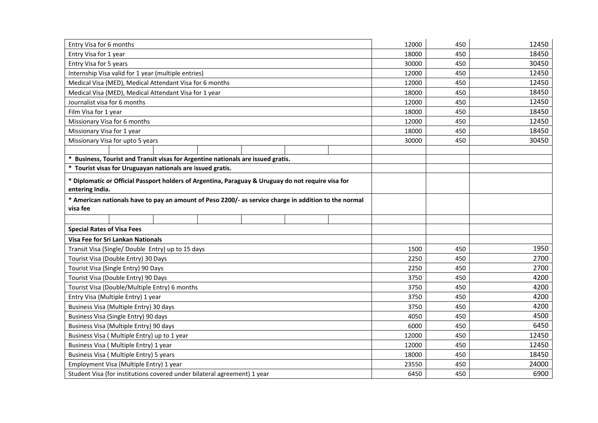| Entry Visa for 6 months                                                                               | 12000 | 450 | 12450 |
|-------------------------------------------------------------------------------------------------------|-------|-----|-------|
| Entry Visa for 1 year                                                                                 | 18000 | 450 | 18450 |
| Entry Visa for 5 years                                                                                | 30000 | 450 | 30450 |
| Internship Visa valid for 1 year (multiple entries)                                                   | 12000 | 450 | 12450 |
| Medical Visa (MED), Medical Attendant Visa for 6 months                                               | 12000 | 450 | 12450 |
| Medical Visa (MED), Medical Attendant Visa for 1 year                                                 | 18000 | 450 | 18450 |
| Journalist visa for 6 months                                                                          | 12000 | 450 | 12450 |
| Film Visa for 1 year                                                                                  | 18000 | 450 | 18450 |
| Missionary Visa for 6 months                                                                          | 12000 | 450 | 12450 |
| Missionary Visa for 1 year                                                                            | 18000 | 450 | 18450 |
| Missionary Visa for upto 5 years                                                                      | 30000 | 450 | 30450 |
|                                                                                                       |       |     |       |
| Business, Tourist and Transit visas for Argentine nationals are issued gratis.                        |       |     |       |
| Tourist visas for Uruguayan nationals are issued gratis.                                              |       |     |       |
| * Diplomatic or Official Passport holders of Argentina, Paraguay & Uruguay do not require visa for    |       |     |       |
| entering India.                                                                                       |       |     |       |
| * American nationals have to pay an amount of Peso 2200/- as service charge in addition to the normal |       |     |       |
| visa fee                                                                                              |       |     |       |
|                                                                                                       |       |     |       |
| <b>Special Rates of Visa Fees</b>                                                                     |       |     |       |
| Visa Fee for Sri Lankan Nationals                                                                     |       |     |       |
|                                                                                                       |       |     | 1950  |
| Transit Visa (Single/ Double Entry) up to 15 days                                                     | 1500  | 450 |       |
| Tourist Visa (Double Entry) 30 Days                                                                   | 2250  | 450 | 2700  |
| Tourist Visa (Single Entry) 90 Days                                                                   | 2250  | 450 | 2700  |
| Tourist Visa (Double Entry) 90 Days                                                                   | 3750  | 450 | 4200  |
| Tourist Visa (Double/Multiple Entry) 6 months                                                         | 3750  | 450 | 4200  |
| Entry Visa (Multiple Entry) 1 year                                                                    | 3750  | 450 | 4200  |
| Business Visa (Multiple Entry) 30 days                                                                | 3750  | 450 | 4200  |
| Business Visa (Single Entry) 90 days                                                                  | 4050  | 450 | 4500  |
| Business Visa (Multiple Entry) 90 days                                                                | 6000  | 450 | 6450  |
| Business Visa (Multiple Entry) up to 1 year                                                           | 12000 | 450 | 12450 |
| Business Visa (Multiple Entry) 1 year                                                                 | 12000 | 450 | 12450 |
| Business Visa (Multiple Entry) 5 years                                                                | 18000 | 450 | 18450 |
| Employment Visa (Multiple Entry) 1 year                                                               | 23550 | 450 | 24000 |
| Student Visa (for institutions covered under bilateral agreement) 1 year                              | 6450  | 450 | 6900  |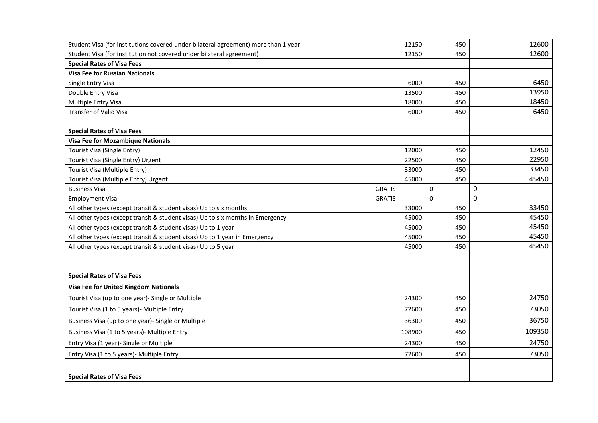| Student Visa (for institutions covered under bilateral agreement) more than 1 year | 12150         | 450 | 12600       |
|------------------------------------------------------------------------------------|---------------|-----|-------------|
| Student Visa (for institution not covered under bilateral agreement)               | 12150         | 450 | 12600       |
| <b>Special Rates of Visa Fees</b>                                                  |               |     |             |
| <b>Visa Fee for Russian Nationals</b>                                              |               |     |             |
| Single Entry Visa                                                                  | 6000          | 450 | 6450        |
| Double Entry Visa                                                                  | 13500         | 450 | 13950       |
| Multiple Entry Visa                                                                | 18000         | 450 | 18450       |
| Transfer of Valid Visa                                                             | 6000          | 450 | 6450        |
|                                                                                    |               |     |             |
| <b>Special Rates of Visa Fees</b>                                                  |               |     |             |
| <b>Visa Fee for Mozambique Nationals</b>                                           |               |     |             |
| Tourist Visa (Single Entry)                                                        | 12000         | 450 | 12450       |
| Tourist Visa (Single Entry) Urgent                                                 | 22500         | 450 | 22950       |
| Tourist Visa (Multiple Entry)                                                      | 33000         | 450 | 33450       |
| Tourist Visa (Multiple Entry) Urgent                                               | 45000         | 450 | 45450       |
| <b>Business Visa</b>                                                               | <b>GRATIS</b> | 0   | $\mathbf 0$ |
| <b>Employment Visa</b>                                                             | <b>GRATIS</b> | 0   | $\Omega$    |
| All other types (except transit & student visas) Up to six months                  | 33000         | 450 | 33450       |
| All other types (except transit & student visas) Up to six months in Emergency     | 45000         | 450 | 45450       |
| All other types (except transit & student visas) Up to 1 year                      | 45000         | 450 | 45450       |
| All other types (except transit & student visas) Up to 1 year in Emergency         | 45000         | 450 | 45450       |
| All other types (except transit & student visas) Up to 5 year                      | 45000         | 450 | 45450       |
|                                                                                    |               |     |             |
| <b>Special Rates of Visa Fees</b>                                                  |               |     |             |
| <b>Visa Fee for United Kingdom Nationals</b>                                       |               |     |             |
| Tourist Visa (up to one year)- Single or Multiple                                  | 24300         | 450 | 24750       |
| Tourist Visa (1 to 5 years)- Multiple Entry                                        | 72600         | 450 | 73050       |
| Business Visa (up to one year)- Single or Multiple                                 | 36300         | 450 | 36750       |
| Business Visa (1 to 5 years)- Multiple Entry                                       | 108900        | 450 | 109350      |
| Entry Visa (1 year)- Single or Multiple                                            | 24300         | 450 | 24750       |
| Entry Visa (1 to 5 years)- Multiple Entry                                          | 72600         | 450 | 73050       |
|                                                                                    |               |     |             |
| <b>Special Rates of Visa Fees</b>                                                  |               |     |             |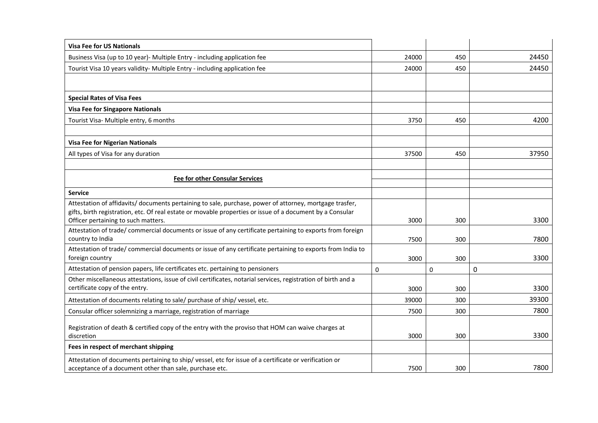| <b>Visa Fee for US Nationals</b>                                                                                                                                                                                                                            |       |     |       |
|-------------------------------------------------------------------------------------------------------------------------------------------------------------------------------------------------------------------------------------------------------------|-------|-----|-------|
| Business Visa (up to 10 year)- Multiple Entry - including application fee                                                                                                                                                                                   | 24000 | 450 | 24450 |
| Tourist Visa 10 years validity- Multiple Entry - including application fee                                                                                                                                                                                  | 24000 | 450 | 24450 |
|                                                                                                                                                                                                                                                             |       |     |       |
| <b>Special Rates of Visa Fees</b>                                                                                                                                                                                                                           |       |     |       |
| <b>Visa Fee for Singapore Nationals</b>                                                                                                                                                                                                                     |       |     |       |
| Tourist Visa- Multiple entry, 6 months                                                                                                                                                                                                                      | 3750  | 450 | 4200  |
| <b>Visa Fee for Nigerian Nationals</b>                                                                                                                                                                                                                      |       |     |       |
| All types of Visa for any duration                                                                                                                                                                                                                          | 37500 | 450 | 37950 |
|                                                                                                                                                                                                                                                             |       |     |       |
| <b>Fee for other Consular Services</b>                                                                                                                                                                                                                      |       |     |       |
|                                                                                                                                                                                                                                                             |       |     |       |
| <b>Service</b>                                                                                                                                                                                                                                              |       |     |       |
| Attestation of affidavits/ documents pertaining to sale, purchase, power of attorney, mortgage trasfer,<br>gifts, birth registration, etc. Of real estate or movable properties or issue of a document by a Consular<br>Officer pertaining to such matters. | 3000  | 300 | 3300  |
| Attestation of trade/ commercial documents or issue of any certificate pertaining to exports from foreign<br>country to India                                                                                                                               | 7500  | 300 | 7800  |
| Attestation of trade/commercial documents or issue of any certificate pertaining to exports from India to<br>foreign country                                                                                                                                | 3000  | 300 | 3300  |
| Attestation of pension papers, life certificates etc. pertaining to pensioners                                                                                                                                                                              | 0     | 0   | 0     |
| Other miscellaneous attestations, issue of civil certificates, notarial services, registration of birth and a<br>certificate copy of the entry.                                                                                                             | 3000  | 300 | 3300  |
| Attestation of documents relating to sale/ purchase of ship/ vessel, etc.                                                                                                                                                                                   | 39000 | 300 | 39300 |
| Consular officer solemnizing a marriage, registration of marriage                                                                                                                                                                                           | 7500  | 300 | 7800  |
| Registration of death & certified copy of the entry with the proviso that HOM can waive charges at<br>discretion                                                                                                                                            | 3000  | 300 | 3300  |
| Fees in respect of merchant shipping                                                                                                                                                                                                                        |       |     |       |
| Attestation of documents pertaining to ship/vessel, etc for issue of a certificate or verification or<br>acceptance of a document other than sale, purchase etc.                                                                                            | 7500  | 300 | 7800  |